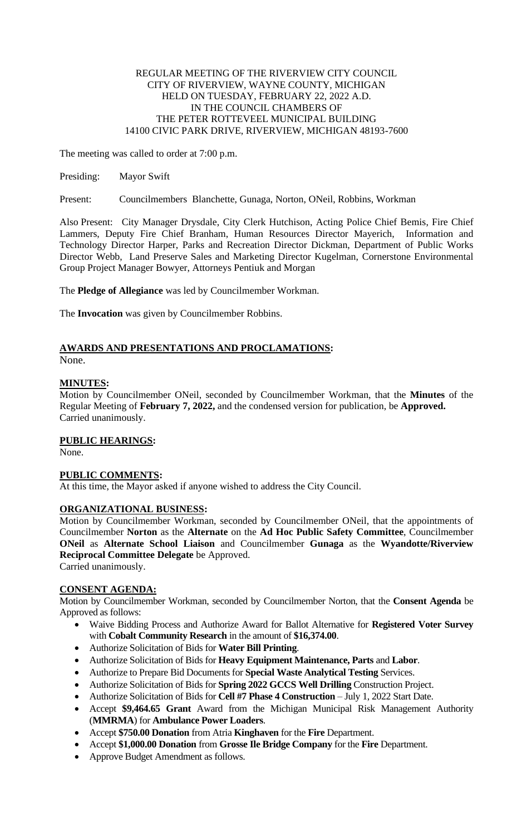#### REGULAR MEETING OF THE RIVERVIEW CITY COUNCIL CITY OF RIVERVIEW, WAYNE COUNTY, MICHIGAN HELD ON TUESDAY, FEBRUARY 22, 2022 A.D. IN THE COUNCIL CHAMBERS OF THE PETER ROTTEVEEL MUNICIPAL BUILDING 14100 CIVIC PARK DRIVE, RIVERVIEW, MICHIGAN 48193-7600

The meeting was called to order at 7:00 p.m.

Presiding: Mayor Swift

Present: Councilmembers Blanchette, Gunaga, Norton, ONeil, Robbins, Workman

Also Present: City Manager Drysdale, City Clerk Hutchison, Acting Police Chief Bemis, Fire Chief Lammers, Deputy Fire Chief Branham, Human Resources Director Mayerich, Information and Technology Director Harper, Parks and Recreation Director Dickman, Department of Public Works Director Webb, Land Preserve Sales and Marketing Director Kugelman, Cornerstone Environmental Group Project Manager Bowyer, Attorneys Pentiuk and Morgan

The **Pledge of Allegiance** was led by Councilmember Workman.

The **Invocation** was given by Councilmember Robbins.

# **AWARDS AND PRESENTATIONS AND PROCLAMATIONS:**

None.

# **MINUTES:**

Motion by Councilmember ONeil, seconded by Councilmember Workman, that the **Minutes** of the Regular Meeting of **February 7, 2022,** and the condensed version for publication, be **Approved.** Carried unanimously.

# **PUBLIC HEARINGS:**

None.

# **PUBLIC COMMENTS:**

At this time, the Mayor asked if anyone wished to address the City Council.

# **ORGANIZATIONAL BUSINESS:**

Motion by Councilmember Workman, seconded by Councilmember ONeil, that the appointments of Councilmember **Norton** as the **Alternate** on the **Ad Hoc Public Safety Committee**, Councilmember **ONeil** as **Alternate School Liaison** and Councilmember **Gunaga** as the **Wyandotte/Riverview Reciprocal Committee Delegate** be Approved. Carried unanimously.

**CONSENT AGENDA:**

Motion by Councilmember Workman, seconded by Councilmember Norton, that the **Consent Agenda** be Approved as follows:

- Waive Bidding Process and Authorize Award for Ballot Alternative for **Registered Voter Survey** with **Cobalt Community Research** in the amount of **\$16,374.00**.
- Authorize Solicitation of Bids for **Water Bill Printing**.
- Authorize Solicitation of Bids for **Heavy Equipment Maintenance, Parts** and **Labor**.
- Authorize to Prepare Bid Documents for **Special Waste Analytical Testing** Services.
- Authorize Solicitation of Bids for **Spring 2022 GCCS Well Drilling** Construction Project.
- Authorize Solicitation of Bids for **Cell #7 Phase 4 Construction** July 1, 2022 Start Date.
- Accept **\$9,464.65 Grant** Award from the Michigan Municipal Risk Management Authority (**MMRMA**) for **Ambulance Power Loaders**.
- Accept **\$750.00 Donation** from Atria **Kinghaven** for the **Fire** Department.
- Accept **\$1,000.00 Donation** from **Grosse Ile Bridge Company** for the **Fire** Department.
- Approve Budget Amendment as follows.